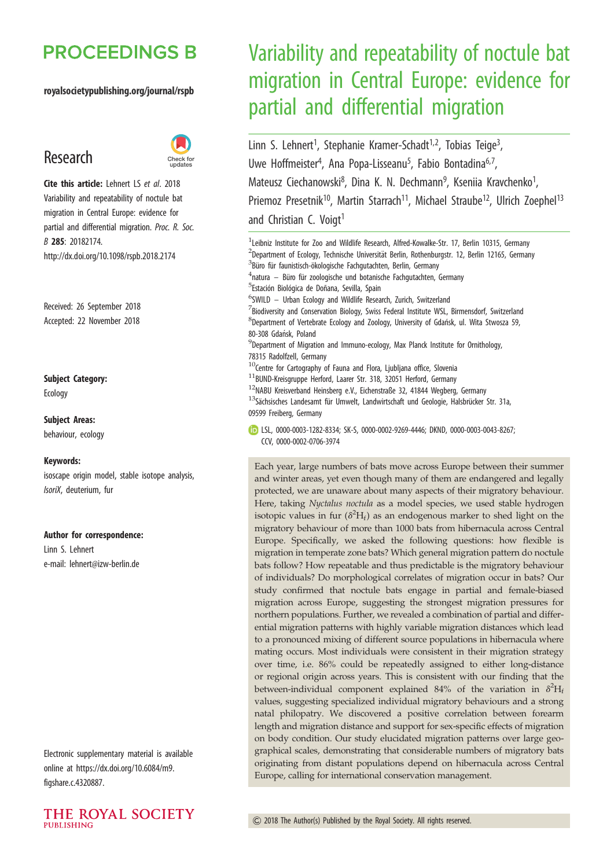# **PROCEEDINGS B**

#### royalsocietypublishing.org/journal/rspb

# Research



Cite this article: Lehnert LS et al. 2018 Variability and repeatability of noctule bat migration in Central Europe: evidence for partial and differential migration. Proc. R. Soc. B 285: 20182174. http://dx.doi.org/10.1098/rspb.2018.2174

Received: 26 September 2018 Accepted: 22 November 2018

#### Subject Category:

Ecology

# Subject Areas:

behaviour, ecology

#### Keywords:

isoscape origin model, stable isotope analysis, IsoriX, deuterium, fur

#### Author for correspondence:

Linn S. Lehnert e-mail: [lehnert@izw-berlin.de](mailto:lehnert@izw-berlin.de)

Electronic supplementary material is available online at [https://dx.doi.org/10.6084/m9.](https://dx.doi.org/10.6084/m9.figshare.c.4320887) [figshare.c.4320887](https://dx.doi.org/10.6084/m9.figshare.c.4320887).



# Variability and repeatability of noctule bat migration in Central Europe: evidence for partial and differential migration

Linn S. Lehnert<sup>1</sup>, Stephanie Kramer-Schadt<sup>1,2</sup>, Tobias Teige<sup>3</sup> , Uwe Hoffmeister<sup>4</sup>, Ana Popa-Lisseanu<sup>5</sup>, Fabio Bontadina<sup>6,7</sup>, Mateusz Ciechanowski<sup>8</sup>, Dina K. N. Dechmann<sup>9</sup>, Kseniia Kravchenko<sup>1</sup> , Priemoz Presetnik<sup>10</sup>, Martin Starrach<sup>11</sup>, Michael Straube<sup>12</sup>, Ulrich Zoephel<sup>13</sup> and Christian C. Voigt<sup>1</sup>

| <sup>1</sup> Leibniz Institute for Zoo and Wildlife Research, Alfred-Kowalke-Str. 17, Berlin 10315, Germany |
|-------------------------------------------------------------------------------------------------------------|
| <sup>2</sup> Department of Ecology, Technische Universität Berlin, Rothenburgstr. 12, Berlin 12165, Germany |
| <sup>3</sup> Büro für faunistisch-ökologische Fachgutachten, Berlin, Germany                                |
| $4$ natura – Büro für zoologische und botanische Fachgutachten, Germany                                     |
| <sup>5</sup> Estación Biológica de Doñana, Sevilla, Spain                                                   |
| <sup>6</sup> SWILD - Urban Ecology and Wildlife Research, Zurich, Switzerland                               |
| <sup>7</sup> Biodiversity and Conservation Biology, Swiss Federal Institute WSL, Birmensdorf, Switzerland   |
| <sup>8</sup> Department of Vertebrate Ecology and Zoology, University of Gdańsk, ul. Wita Stwosza 59,       |
| 80-308 Gdańsk, Poland                                                                                       |
| <sup>9</sup> Department of Migration and Immuno-ecology, Max Planck Institute for Ornithology,              |
| 78315 Radolfzell, Germany                                                                                   |
| $10$ Centre for Cartography of Fauna and Flora, Ljubljana office, Slovenia                                  |
| <sup>11</sup> BUND-Kreisgruppe Herford, Laarer Str. 318, 32051 Herford, Germany                             |
| <sup>12</sup> NABU Kreisverband Heinsberg e.V., Eichenstraße 32, 41844 Wegberg, Germany                     |
| <sup>13</sup> Sächsisches Landesamt für Umwelt, Landwirtschaft und Geologie, Halsbrücker Str. 31a,          |
| 09599 Freiberg, Germany                                                                                     |

LSL, [0000-0003-1282-8334;](http://orcid.org/0000-0003-1282-8334) SK-S, [0000-0002-9269-4446;](http://orcid.org/0000-0002-9269-4446) DKND, [0000-0003-0043-8267](http://orcid.org/0000-0003-0043-8267); CCV, [0000-0002-0706-3974](http://orcid.org/0000-0002-0706-3974)

Each year, large numbers of bats move across Europe between their summer and winter areas, yet even though many of them are endangered and legally protected, we are unaware about many aspects of their migratory behaviour. Here, taking Nyctalus noctula as a model species, we used stable hydrogen isotopic values in fur ( $\delta^2$ H<sub>f</sub>) as an endogenous marker to shed light on the migratory behaviour of more than 1000 bats from hibernacula across Central Europe. Specifically, we asked the following questions: how flexible is migration in temperate zone bats? Which general migration pattern do noctule bats follow? How repeatable and thus predictable is the migratory behaviour of individuals? Do morphological correlates of migration occur in bats? Our study confirmed that noctule bats engage in partial and female-biased migration across Europe, suggesting the strongest migration pressures for northern populations. Further, we revealed a combination of partial and differential migration patterns with highly variable migration distances which lead to a pronounced mixing of different source populations in hibernacula where mating occurs. Most individuals were consistent in their migration strategy over time, i.e. 86% could be repeatedly assigned to either long-distance or regional origin across years. This is consistent with our finding that the between-individual component explained 84% of the variation in  $\delta^2 H_i$ values, suggesting specialized individual migratory behaviours and a strong natal philopatry. We discovered a positive correlation between forearm length and migration distance and support for sex-specific effects of migration on body condition. Our study elucidated migration patterns over large geographical scales, demonstrating that considerable numbers of migratory bats originating from distant populations depend on hibernacula across Central Europe, calling for international conservation management.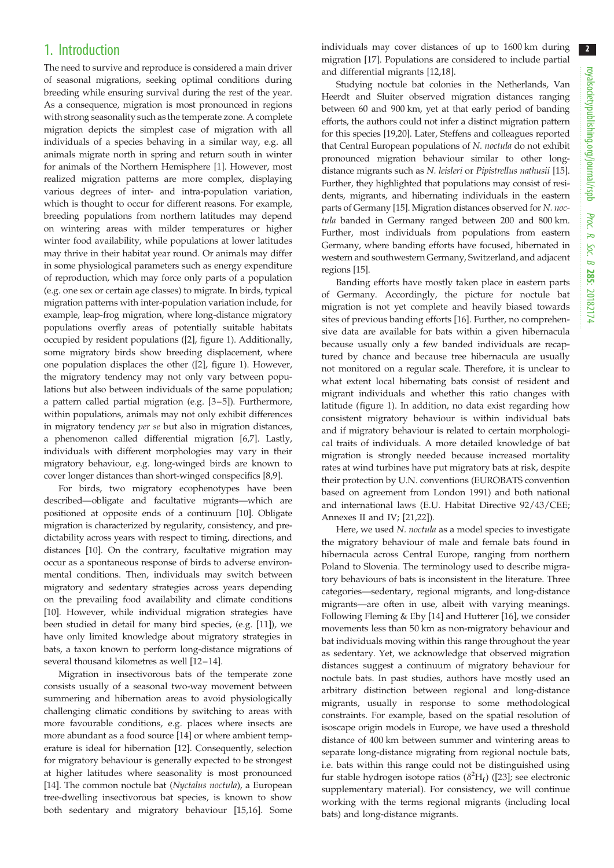## 1. Introduction

The need to survive and reproduce is considered a main driver of seasonal migrations, seeking optimal conditions during breeding while ensuring survival during the rest of the year. As a consequence, migration is most pronounced in regions with strong seasonality such as the temperate zone. A complete migration depicts the simplest case of migration with all individuals of a species behaving in a similar way, e.g. all animals migrate north in spring and return south in winter for animals of the Northern Hemisphere [\[1\]](#page-7-0). However, most realized migration patterns are more complex, displaying various degrees of inter- and intra-population variation, which is thought to occur for different reasons. For example, breeding populations from northern latitudes may depend on wintering areas with milder temperatures or higher winter food availability, while populations at lower latitudes may thrive in their habitat year round. Or animals may differ in some physiological parameters such as energy expenditure of reproduction, which may force only parts of a population (e.g. one sex or certain age classes) to migrate. In birds, typical migration patterns with inter-population variation include, for example, leap-frog migration, where long-distance migratory populations overfly areas of potentially suitable habitats occupied by resident populations ([[2](#page-7-0)], [figure 1\)](#page-2-0). Additionally, some migratory birds show breeding displacement, where one population displaces the other ([[2](#page-7-0)], [figure 1](#page-2-0)). However, the migratory tendency may not only vary between populations but also between individuals of the same population; a pattern called partial migration (e.g. [\[3](#page-7-0)–[5](#page-7-0)]). Furthermore, within populations, animals may not only exhibit differences in migratory tendency per se but also in migration distances, a phenomenon called differential migration [\[6,7\]](#page-7-0). Lastly, individuals with different morphologies may vary in their migratory behaviour, e.g. long-winged birds are known to cover longer distances than short-winged conspecifics [[8](#page-7-0),[9](#page-7-0)].

For birds, two migratory ecophenotypes have been described—obligate and facultative migrants—which are positioned at opposite ends of a continuum [[10\]](#page-7-0). Obligate migration is characterized by regularity, consistency, and predictability across years with respect to timing, directions, and distances [[10\]](#page-7-0). On the contrary, facultative migration may occur as a spontaneous response of birds to adverse environmental conditions. Then, individuals may switch between migratory and sedentary strategies across years depending on the prevailing food availability and climate conditions [\[10](#page-7-0)]. However, while individual migration strategies have been studied in detail for many bird species, (e.g. [\[11](#page-7-0)]), we have only limited knowledge about migratory strategies in bats, a taxon known to perform long-distance migrations of several thousand kilometres as well [\[12](#page-7-0)–[14](#page-7-0)].

Migration in insectivorous bats of the temperate zone consists usually of a seasonal two-way movement between summering and hibernation areas to avoid physiologically challenging climatic conditions by switching to areas with more favourable conditions, e.g. places where insects are more abundant as a food source [[14\]](#page-7-0) or where ambient temperature is ideal for hibernation [\[12](#page-7-0)]. Consequently, selection for migratory behaviour is generally expected to be strongest at higher latitudes where seasonality is most pronounced [\[14](#page-7-0)]. The common noctule bat (Nyctalus noctula), a European tree-dwelling insectivorous bat species, is known to show both sedentary and migratory behaviour [[15,16\]](#page-7-0). Some

individuals may cover distances of up to 1600 km during migration [\[17](#page-7-0)]. Populations are considered to include partial and differential migrants [[12,18](#page-7-0)].

Studying noctule bat colonies in the Netherlands, Van Heerdt and Sluiter observed migration distances ranging between 60 and 900 km, yet at that early period of banding efforts, the authors could not infer a distinct migration pattern for this species [[19,20](#page-7-0)]. Later, Steffens and colleagues reported that Central European populations of N. noctula do not exhibit pronounced migration behaviour similar to other longdistance migrants such as N. leisleri or Pipistrellus nathusii [[15\]](#page-7-0). Further, they highlighted that populations may consist of residents, migrants, and hibernating individuals in the eastern parts of Germany [[15\]](#page-7-0). Migration distances observed for N. noctula banded in Germany ranged between 200 and 800 km. Further, most individuals from populations from eastern Germany, where banding efforts have focused, hibernated in western and southwestern Germany, Switzerland, and adjacent regions [\[15](#page-7-0)].

Banding efforts have mostly taken place in eastern parts of Germany. Accordingly, the picture for noctule bat migration is not yet complete and heavily biased towards sites of previous banding efforts [\[16](#page-7-0)]. Further, no comprehensive data are available for bats within a given hibernacula because usually only a few banded individuals are recaptured by chance and because tree hibernacula are usually not monitored on a regular scale. Therefore, it is unclear to what extent local hibernating bats consist of resident and migrant individuals and whether this ratio changes with latitude [\(figure 1\)](#page-2-0). In addition, no data exist regarding how consistent migratory behaviour is within individual bats and if migratory behaviour is related to certain morphological traits of individuals. A more detailed knowledge of bat migration is strongly needed because increased mortality rates at wind turbines have put migratory bats at risk, despite their protection by U.N. conventions (EUROBATS convention based on agreement from London 1991) and both national and international laws (E.U. Habitat Directive 92/43/CEE; Annexes II and IV; [\[21](#page-7-0),[22\]](#page-7-0)).

Here, we used N. noctula as a model species to investigate the migratory behaviour of male and female bats found in hibernacula across Central Europe, ranging from northern Poland to Slovenia. The terminology used to describe migratory behaviours of bats is inconsistent in the literature. Three categories—sedentary, regional migrants, and long-distance migrants—are often in use, albeit with varying meanings. Following Fleming & Eby [\[14](#page-7-0)] and Hutterer [[16\]](#page-7-0), we consider movements less than 50 km as non-migratory behaviour and bat individuals moving within this range throughout the year as sedentary. Yet, we acknowledge that observed migration distances suggest a continuum of migratory behaviour for noctule bats. In past studies, authors have mostly used an arbitrary distinction between regional and long-distance migrants, usually in response to some methodological constraints. For example, based on the spatial resolution of isoscape origin models in Europe, we have used a threshold distance of 400 km between summer and wintering areas to separate long-distance migrating from regional noctule bats, i.e. bats within this range could not be distinguished using fur stable hydrogen isotope ratios ( $\delta^2$ H<sub>f</sub>) ([[23\]](#page-7-0); see electronic supplementary material). For consistency, we will continue working with the terms regional migrants (including local bats) and long-distance migrants.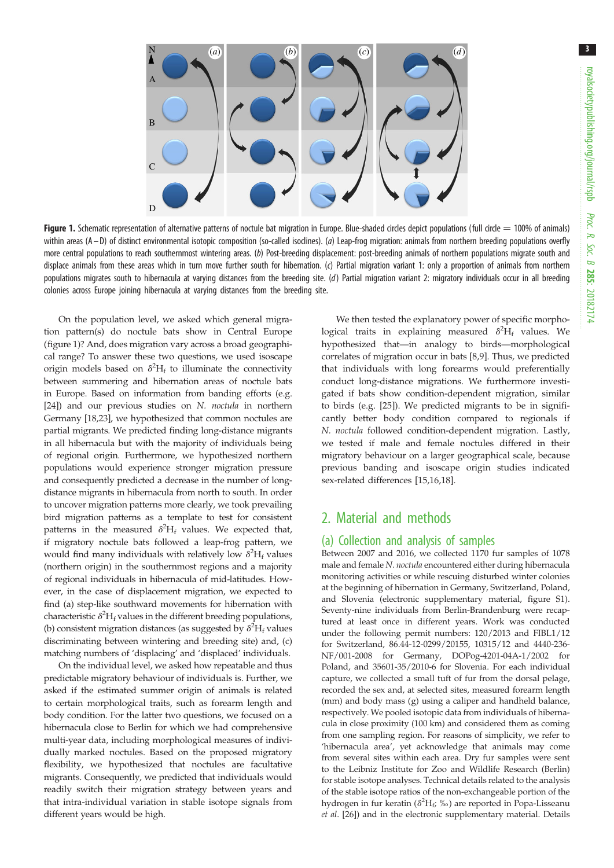<span id="page-2-0"></span>

Figure 1. Schematic representation of alternative patterns of noctule bat migration in Europe. Blue-shaded circles depict populations (full circle  $= 100\%$  of animals) within areas (A-D) of distinct environmental isotopic composition (so-called isoclines). (a) Leap-frog migration: animals from northern breeding populations overfly more central populations to reach southernmost wintering areas. (b) Post-breeding displacement: post-breeding animals of northern populations migrate south and displace animals from these areas which in turn move further south for hibernation. (c) Partial migration variant 1: only a proportion of animals from northern populations migrates south to hibernacula at varying distances from the breeding site. (d) Partial migration variant 2: migratory individuals occur in all breeding colonies across Europe joining hibernacula at varying distances from the breeding site.

On the population level, we asked which general migration pattern(s) do noctule bats show in Central Europe (figure 1)? And, does migration vary across a broad geographical range? To answer these two questions, we used isoscape origin models based on  $\delta^2H_f$  to illuminate the connectivity between summering and hibernation areas of noctule bats in Europe. Based on information from banding efforts (e.g. [\[24](#page-7-0)]) and our previous studies on N. noctula in northern Germany [[18,23](#page-7-0)], we hypothesized that common noctules are partial migrants. We predicted finding long-distance migrants in all hibernacula but with the majority of individuals being of regional origin. Furthermore, we hypothesized northern populations would experience stronger migration pressure and consequently predicted a decrease in the number of longdistance migrants in hibernacula from north to south. In order to uncover migration patterns more clearly, we took prevailing bird migration patterns as a template to test for consistent patterns in the measured  $\delta^2H_f$  values. We expected that, if migratory noctule bats followed a leap-frog pattern, we would find many individuals with relatively low  $\delta^2H_f$  values (northern origin) in the southernmost regions and a majority of regional individuals in hibernacula of mid-latitudes. However, in the case of displacement migration, we expected to find (a) step-like southward movements for hibernation with characteristic  $\delta^2 H_f$  values in the different breeding populations, (b) consistent migration distances (as suggested by  $\delta^2 H_f$  values discriminating between wintering and breeding site) and, (c) matching numbers of 'displacing' and 'displaced' individuals.

On the individual level, we asked how repeatable and thus predictable migratory behaviour of individuals is. Further, we asked if the estimated summer origin of animals is related to certain morphological traits, such as forearm length and body condition. For the latter two questions, we focused on a hibernacula close to Berlin for which we had comprehensive multi-year data, including morphological measures of individually marked noctules. Based on the proposed migratory flexibility, we hypothesized that noctules are facultative migrants. Consequently, we predicted that individuals would readily switch their migration strategy between years and that intra-individual variation in stable isotope signals from different years would be high.

We then tested the explanatory power of specific morphological traits in explaining measured  $\delta^2 H_f$  values. We hypothesized that—in analogy to birds—morphological correlates of migration occur in bats [\[8,9\]](#page-7-0). Thus, we predicted that individuals with long forearms would preferentially conduct long-distance migrations. We furthermore investigated if bats show condition-dependent migration, similar to birds (e.g. [\[25](#page-7-0)]). We predicted migrants to be in significantly better body condition compared to regionals if N. noctula followed condition-dependent migration. Lastly, we tested if male and female noctules differed in their migratory behaviour on a larger geographical scale, because previous banding and isoscape origin studies indicated sex-related differences [\[15](#page-7-0),[16,18\]](#page-7-0).

## 2. Material and methods

#### (a) Collection and analysis of samples

Between 2007 and 2016, we collected 1170 fur samples of 1078 male and female N. noctula encountered either during hibernacula monitoring activities or while rescuing disturbed winter colonies at the beginning of hibernation in Germany, Switzerland, Poland, and Slovenia (electronic supplementary material, figure S1). Seventy-nine individuals from Berlin-Brandenburg were recaptured at least once in different years. Work was conducted under the following permit numbers: 120/2013 and FIBL1/12 for Switzerland, 86.44-12-0299/20155, 10315/12 and 4440-236- NF/001-2008 for Germany, DOPog-4201-04A-1/2002 for Poland, and 35601-35/2010-6 for Slovenia. For each individual capture, we collected a small tuft of fur from the dorsal pelage, recorded the sex and, at selected sites, measured forearm length (mm) and body mass (g) using a caliper and handheld balance, respectively. We pooled isotopic data from individuals of hibernacula in close proximity (100 km) and considered them as coming from one sampling region. For reasons of simplicity, we refer to 'hibernacula area', yet acknowledge that animals may come from several sites within each area. Dry fur samples were sent to the Leibniz Institute for Zoo and Wildlife Research (Berlin) for stable isotope analyses. Technical details related to the analysis of the stable isotope ratios of the non-exchangeable portion of the hydrogen in fur keratin ( $\delta^2 H_f$ ; ‰) are reported in Popa-Lisseanu et al. [[26](#page-7-0)]) and in the electronic supplementary material. Details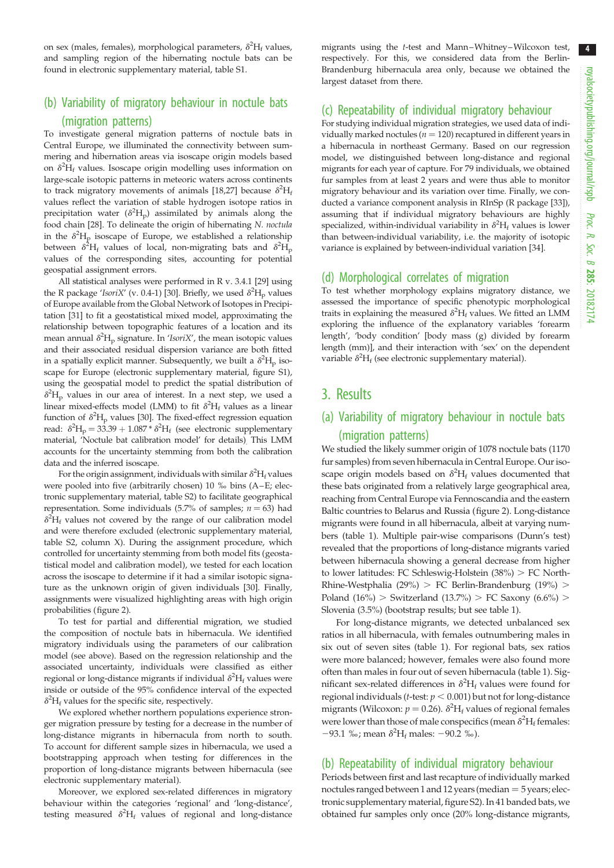on sex (males, females), morphological parameters,  $\delta^2 H_f$  values, and sampling region of the hibernating noctule bats can be found in electronic supplementary material, table S1.

## (b) Variability of migratory behaviour in noctule bats (migration patterns)

To investigate general migration patterns of noctule bats in Central Europe, we illuminated the connectivity between summering and hibernation areas via isoscape origin models based on  $\delta^2 H_f$  values. Isoscape origin modelling uses information on large-scale isotopic patterns in meteoric waters across continents to track migratory movements of animals [\[18,27\]](#page-7-0) because  $\delta^2H_f$ values reflect the variation of stable hydrogen isotope ratios in precipitation water  $(\delta^2H_p)$  assimilated by animals along the food chain [[28](#page-7-0)]. To delineate the origin of hibernating N. noctula in the  $\delta^2\mathrm{H}_{\mathrm{p}}$  isoscape of Europe, we established a relationship between  $\delta^2\mathrm{H}_{\mathrm{f}}$  values of local, non-migrating bats and  $\delta^2\mathrm{H}_{\mathrm{p}}$ values of the corresponding sites, accounting for potential geospatial assignment errors.

All statistical analyses were performed in R v. 3.4.1 [[29](#page-7-0)] using the R package '*IsoriX'* (v. 0.4-1) [[30](#page-7-0)]. Briefly, we used  $\delta^2H_p$  values of Europe available from the Global Network of Isotopes in Precipitation [\[31](#page-8-0)] to fit a geostatistical mixed model, approximating the relationship between topographic features of a location and its mean annual  $\delta^2 H_p$  signature. In *'IsoriX'*, the mean isotopic values and their associated residual dispersion variance are both fitted in a spatially explicit manner. Subsequently, we built a  $\delta^2\mathrm{H}_\mathrm{p}$  isoscape for Europe (electronic supplementary material, figure S1), using the geospatial model to predict the spatial distribution of  $\delta^2 H_p$  values in our area of interest. In a next step, we used a linear mixed-effects model (LMM) to fit  $\delta^2 H_f$  values as a linear function of  $\delta^2H_p$  values [\[30](#page-7-0)]. The fixed-effect regression equation read:  $\delta^2 H_p = 33.39 + 1.087 * \delta^2 H_f$  (see electronic supplementary material, 'Noctule bat calibration model' for details). This LMM accounts for the uncertainty stemming from both the calibration data and the inferred isoscape.

For the origin assignment, individuals with similar  $\delta^2\mathrm{H}_{\mathrm{f}}$  values were pooled into five (arbitrarily chosen) 10 ‰ bins (A–E; electronic supplementary material, table S2) to facilitate geographical representation. Some individuals (5.7% of samples;  $n = 63$ ) had  $\delta^2 H_f$  values not covered by the range of our calibration model and were therefore excluded (electronic supplementary material, table S2, column X). During the assignment procedure, which controlled for uncertainty stemming from both model fits (geostatistical model and calibration model), we tested for each location across the isoscape to determine if it had a similar isotopic signature as the unknown origin of given individuals [[30](#page-7-0)]. Finally, assignments were visualized highlighting areas with high origin probabilities [\(figure 2](#page-4-0)).

To test for partial and differential migration, we studied the composition of noctule bats in hibernacula. We identified migratory individuals using the parameters of our calibration model (see above). Based on the regression relationship and the associated uncertainty, individuals were classified as either regional or long-distance migrants if individual  $\delta^2H_f$  values were inside or outside of the 95% confidence interval of the expected  $\delta^2 H_f$  values for the specific site, respectively.

We explored whether northern populations experience stronger migration pressure by testing for a decrease in the number of long-distance migrants in hibernacula from north to south. To account for different sample sizes in hibernacula, we used a bootstrapping approach when testing for differences in the proportion of long-distance migrants between hibernacula (see electronic supplementary material).

Moreover, we explored sex-related differences in migratory behaviour within the categories 'regional' and 'long-distance', testing measured  $\delta^2 H_f$  values of regional and long-distance

migrants using the t-test and Mann –Whitney–Wilcoxon test, respectively. For this, we considered data from the Berlin-Brandenburg hibernacula area only, because we obtained the largest dataset from there.

## (c) Repeatability of individual migratory behaviour

For studying individual migration strategies, we used data of individually marked noctules ( $n = 120$ ) recaptured in different years in a hibernacula in northeast Germany. Based on our regression model, we distinguished between long-distance and regional migrants for each year of capture. For 79 individuals, we obtained fur samples from at least 2 years and were thus able to monitor migratory behaviour and its variation over time. Finally, we conducted a variance component analysis in RInSp (R package [[33](#page-8-0)]), assuming that if individual migratory behaviours are highly specialized, within-individual variability in  $\delta^2 H_f$  values is lower than between-individual variability, i.e. the majority of isotopic variance is explained by between-individual variation [[34](#page-8-0)].

#### (d) Morphological correlates of migration

To test whether morphology explains migratory distance, we assessed the importance of specific phenotypic morphological traits in explaining the measured  $\delta^2 H_f$  values. We fitted an LMM exploring the influence of the explanatory variables 'forearm length', 'body condition' [body mass (g) divided by forearm length (mm)], and their interaction with 'sex' on the dependent variable  $\delta^2 H_f$  (see electronic supplementary material).

## 3. Results

# (a) Variability of migratory behaviour in noctule bats (migration patterns)

We studied the likely summer origin of 1078 noctule bats (1170 fur samples) from seven hibernacula in Central Europe. Our isoscape origin models based on  $\delta^2 H_f$  values documented that these bats originated from a relatively large geographical area, reaching from Central Europe via Fennoscandia and the eastern Baltic countries to Belarus and Russia [\(figure 2](#page-4-0)). Long-distance migrants were found in all hibernacula, albeit at varying numbers ([table 1](#page-5-0)). Multiple pair-wise comparisons (Dunn's test) revealed that the proportions of long-distance migrants varied between hibernacula showing a general decrease from higher to lower latitudes: FC Schleswig-Holstein  $(38\%)$  > FC North-Rhine-Westphalia (29%) > FC Berlin-Brandenburg (19%) > Poland (16%) > Switzerland (13.7%) > FC Saxony (6.6%) > Slovenia (3.5%) (bootstrap results; but see [table 1](#page-5-0)).

For long-distance migrants, we detected unbalanced sex ratios in all hibernacula, with females outnumbering males in six out of seven sites ([table 1\)](#page-5-0). For regional bats, sex ratios were more balanced; however, females were also found more often than males in four out of seven hibernacula [\(table 1\)](#page-5-0). Significant sex-related differences in  $\delta^2 H_f$  values were found for regional individuals (*t*-test:  $p < 0.001$ ) but not for long-distance migrants (Wilcoxon:  $p = 0.26$ ).  $\delta^2 H_f$  values of regional females were lower than those of male conspecifics (mean  $\delta^2 H_f$  females:  $-93.1$  ‰; mean  $\delta^2$ H<sub>f</sub> males:  $-90.2$  ‰).

## (b) Repeatability of individual migratory behaviour

Periods between first and last recapture of individually marked noctules ranged between 1 and 12 years (median  $=$  5 years; electronic supplementary material, figure S2). In 41 banded bats, we obtained fur samples only once (20% long-distance migrants,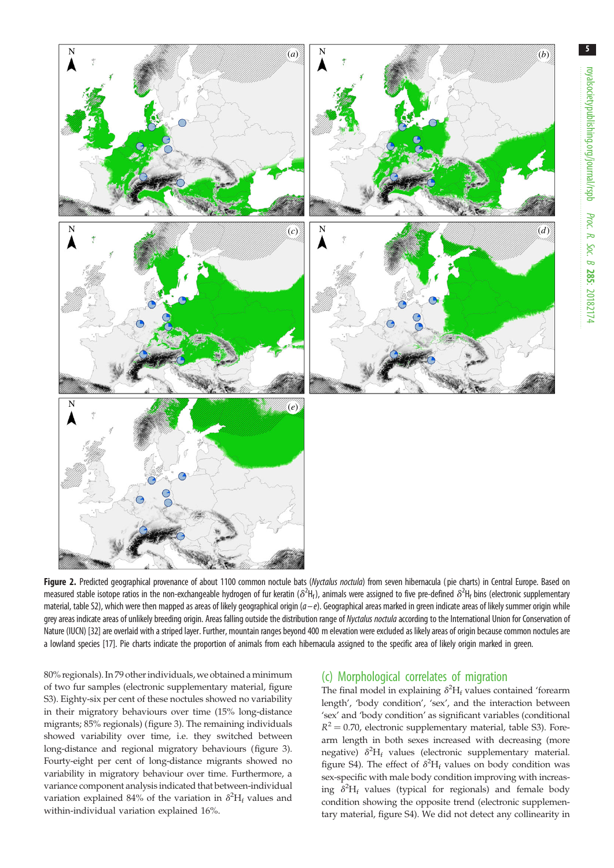<span id="page-4-0"></span>

Figure 2. Predicted geographical provenance of about 1100 common noctule bats (Nyctalus noctula) from seven hibernacula (pie charts) in Central Europe. Based on measured stable isotope ratios in the non-exchangeable hydrogen of fur keratin ( $\delta^2H_f$ ), animals were assigned to five pre-defined  $\delta^2H_f$  bins (electronic supplementary material, table S2), which were then mapped as areas of likely geographical origin  $(a-e)$ . Geographical areas marked in green indicate areas of likely summer origin while grey areas indicate areas of unlikely breeding origin. Areas falling outside the distribution range of Nyctalus noctula according to the International Union for Conservation of Nature (IUCN) [[32](#page-8-0)] are overlaid with a striped layer. Further, mountain ranges beyond 400 m elevation were excluded as likely areas of origin because common noctules are a lowland species [[17](#page-7-0)]. Pie charts indicate the proportion of animals from each hibernacula assigned to the specific area of likely origin marked in green.

80% regionals). In 79 other individuals, we obtained aminimum of two fur samples (electronic supplementary material, figure S3). Eighty-six per cent of these noctules showed no variability in their migratory behaviours over time (15% long-distance migrants; 85% regionals) [\(figure 3](#page-5-0)). The remaining individuals showed variability over time, i.e. they switched between long-distance and regional migratory behaviours [\(figure 3](#page-5-0)). Fourty-eight per cent of long-distance migrants showed no variability in migratory behaviour over time. Furthermore, a variance component analysis indicated that between-individual variation explained 84% of the variation in  $\delta^2H_f$  values and within-individual variation explained 16%.

## (c) Morphological correlates of migration

The final model in explaining  $\delta^2 H_f$  values contained 'forearm length', 'body condition', 'sex', and the interaction between 'sex' and 'body condition' as significant variables (conditional  $R^2 = 0.70$ , electronic supplementary material, table S3). Forearm length in both sexes increased with decreasing (more negative)  $\delta^2 H_f$  values (electronic supplementary material. figure S4). The effect of  $\delta^2H_f$  values on body condition was sex-specific with male body condition improving with increasing  $\delta^2 H_f$  values (typical for regionals) and female body condition showing the opposite trend (electronic supplementary material, figure S4). We did not detect any collinearity in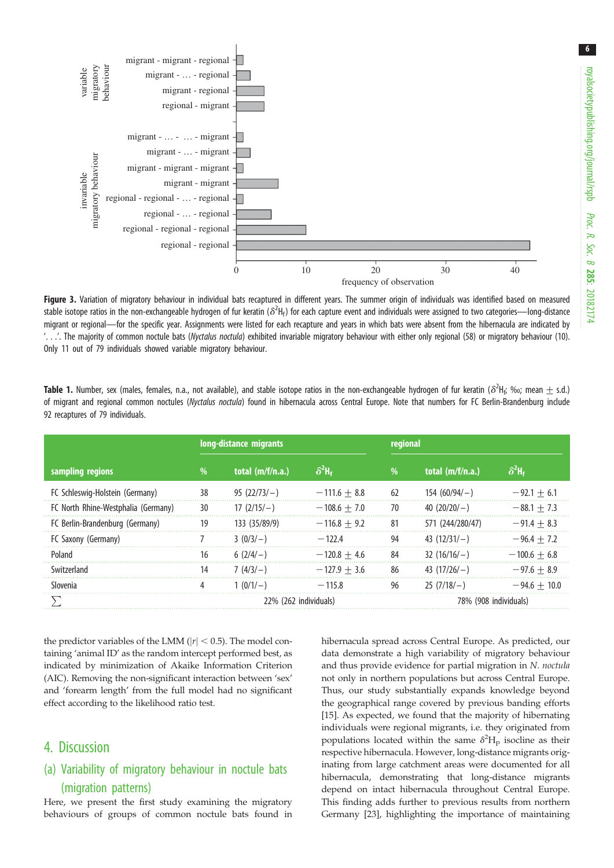<span id="page-5-0"></span>

Figure 3. Variation of migratory behaviour in individual bats recaptured in different years. The summer origin of individuals was identified based on measured stable isotope ratios in the non-exchangeable hydrogen of fur keratin ( $\delta^2$ H<sub>f</sub>) for each capture event and individuals were assigned to two categories—long-distance migrant or regional—for the specific year. Assignments were listed for each recapture and years in which bats were absent from the hibernacula are indicated by '...'. The majority of common noctule bats (Nyctalus noctula) exhibited invariable migratory behaviour with either only regional (58) or migratory behaviour (10). Only 11 out of 79 individuals showed variable migratory behaviour.

| <b>Table 1.</b> Number, sex (males, females, n.a., not available), and stable isotope ratios in the non-exchangeable hydrogen of fur keratin ( $\delta^2$ H <sub>6</sub> ‰; mean $\pm$ s.d.) |  |
|----------------------------------------------------------------------------------------------------------------------------------------------------------------------------------------------|--|
| of migrant and regional common noctules (Nyctalus noctula) found in hibernacula across Central Europe. Note that numbers for FC Berlin-Brandenburg include                                   |  |
| 92 recaptures of 79 individuals.                                                                                                                                                             |  |

|                                     | long-distance migrants |                    |                | regional |                       |                |  |
|-------------------------------------|------------------------|--------------------|----------------|----------|-----------------------|----------------|--|
| sampling regions                    | %                      | total $(m/f/n.a.)$ | $\delta^2 H_f$ | %        | total $(m/f/n.a.)$    | $\delta^2 H_f$ |  |
| FC Schleswig-Holstein (Germany)     | 38                     | $95(22/73/-)$      | $-111.6 + 8.8$ | 62       | $154(60/94/-)$        | $-92.1 + 6.1$  |  |
| FC North Rhine-Westphalia (Germany) | 30                     | $17(2/15/-)$       | $-108.6 + 7.0$ | 70       | $40(20/20/-)$         | $-88.1 + 7.3$  |  |
| FC Berlin-Brandenburg (Germany)     | 19                     | 133 (35/89/9)      | $-116.8 + 9.2$ | -81      | 571 (244/280/47)      | $-91.4 + 8.3$  |  |
| FC Saxony (Germany)                 |                        | $3(0/3/-)$         | $-122.4$       | 94       | $43(12/31/-)$         | $-96.4 + 7.2$  |  |
| Poland                              | 16                     | $6(2/4/-)$         | $-120.8 + 4.6$ | 84       | $32(16/16/-)$         | $-100.6 + 6.8$ |  |
| Switzerland                         | 14                     | $7(4/3/-)$         | $-127.9 + 3.6$ | 86       | $43(17/26/-)$         | $-97.6 + 8.9$  |  |
| Slovenia                            | 4                      | $(0/1/-)$          | $-115.8$       | 96       | $25(7/18/-)$          | $-94.6 + 10.0$ |  |
|                                     | 22% (262 individuals)  |                    |                |          | 78% (908 individuals) |                |  |

the predictor variables of the LMM ( $|r| < 0.5$ ). The model containing 'animal ID' as the random intercept performed best, as indicated by minimization of Akaike Information Criterion (AIC). Removing the non-significant interaction between 'sex' and 'forearm length' from the full model had no significant effect according to the likelihood ratio test.

## 4. Discussion

# (a) Variability of migratory behaviour in noctule bats (migration patterns)

Here, we present the first study examining the migratory behaviours of groups of common noctule bats found in hibernacula spread across Central Europe. As predicted, our data demonstrate a high variability of migratory behaviour and thus provide evidence for partial migration in N. noctula not only in northern populations but across Central Europe. Thus, our study substantially expands knowledge beyond the geographical range covered by previous banding efforts [[15\]](#page-7-0). As expected, we found that the majority of hibernating individuals were regional migrants, i.e. they originated from populations located within the same  $\delta^2 H_p$  isocline as their respective hibernacula. However, long-distance migrants originating from large catchment areas were documented for all hibernacula, demonstrating that long-distance migrants depend on intact hibernacula throughout Central Europe. This finding adds further to previous results from northern Germany [\[23](#page-7-0)], highlighting the importance of maintaining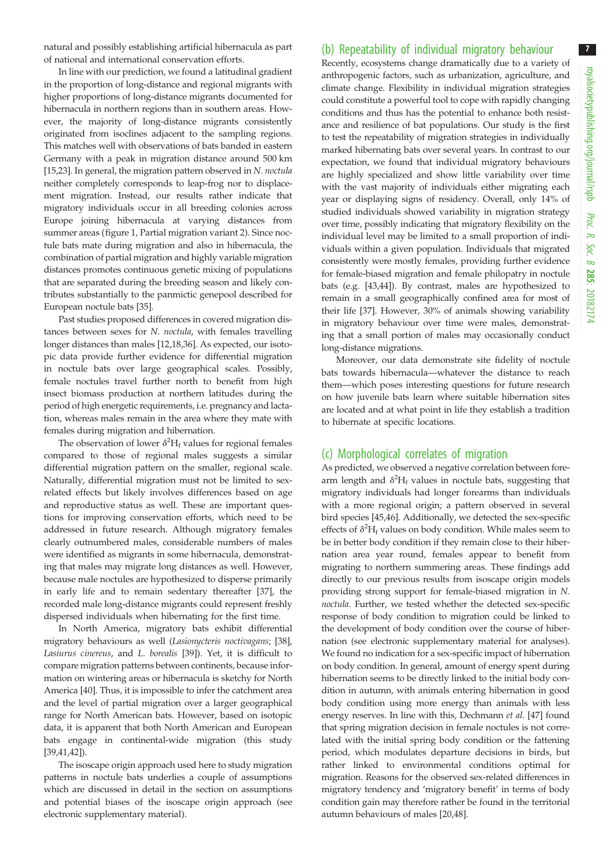natural and possibly establishing artificial hibernacula as part of national and international conservation efforts.

In line with our prediction, we found a latitudinal gradient in the proportion of long-distance and regional migrants with higher proportions of long-distance migrants documented for hibernacula in northern regions than in southern areas. However, the majority of long-distance migrants consistently originated from isoclines adjacent to the sampling regions. This matches well with observations of bats banded in eastern Germany with a peak in migration distance around 500 km [\[15,23](#page-7-0)]. In general, the migration pattern observed in N. noctula neither completely corresponds to leap-frog nor to displacement migration. Instead, our results rather indicate that migratory individuals occur in all breeding colonies across Europe joining hibernacula at varying distances from summer areas [\(figure 1,](#page-2-0) Partial migration variant 2). Since noctule bats mate during migration and also in hibernacula, the combination of partial migration and highly variable migration distances promotes continuous genetic mixing of populations that are separated during the breeding season and likely contributes substantially to the panmictic genepool described for European noctule bats [\[35](#page-8-0)].

Past studies proposed differences in covered migration distances between sexes for N. noctula, with females travelling longer distances than males [\[12](#page-7-0),[18](#page-7-0),[36\]](#page-8-0). As expected, our isotopic data provide further evidence for differential migration in noctule bats over large geographical scales. Possibly, female noctules travel further north to benefit from high insect biomass production at northern latitudes during the period of high energetic requirements, i.e. pregnancy and lactation, whereas males remain in the area where they mate with females during migration and hibernation.

The observation of lower  $\delta^2H_f$  values for regional females compared to those of regional males suggests a similar differential migration pattern on the smaller, regional scale. Naturally, differential migration must not be limited to sexrelated effects but likely involves differences based on age and reproductive status as well. These are important questions for improving conservation efforts, which need to be addressed in future research. Although migratory females clearly outnumbered males, considerable numbers of males were identified as migrants in some hibernacula, demonstrating that males may migrate long distances as well. However, because male noctules are hypothesized to disperse primarily in early life and to remain sedentary thereafter [[37](#page-8-0)], the recorded male long-distance migrants could represent freshly dispersed individuals when hibernating for the first time.

In North America, migratory bats exhibit differential migratory behaviours as well (Lasionycteris noctivagans; [\[38](#page-8-0)], Lasiurus cinereus, and L. borealis [\[39](#page-8-0)]). Yet, it is difficult to compare migration patterns between continents, because information on wintering areas or hibernacula is sketchy for North America [[40\]](#page-8-0). Thus, it is impossible to infer the catchment area and the level of partial migration over a larger geographical range for North American bats. However, based on isotopic data, it is apparent that both North American and European bats engage in continental-wide migration (this study [\[39,41](#page-8-0),[42](#page-8-0)]).

The isoscape origin approach used here to study migration patterns in noctule bats underlies a couple of assumptions which are discussed in detail in the section on assumptions and potential biases of the isoscape origin approach (see electronic supplementary material).

### (b) Repeatability of individual migratory behaviour

Recently, ecosystems change dramatically due to a variety of anthropogenic factors, such as urbanization, agriculture, and climate change. Flexibility in individual migration strategies could constitute a powerful tool to cope with rapidly changing conditions and thus has the potential to enhance both resistance and resilience of bat populations. Our study is the first to test the repeatability of migration strategies in individually marked hibernating bats over several years. In contrast to our expectation, we found that individual migratory behaviours are highly specialized and show little variability over time with the vast majority of individuals either migrating each year or displaying signs of residency. Overall, only 14% of studied individuals showed variability in migration strategy over time, possibly indicating that migratory flexibility on the individual level may be limited to a small proportion of individuals within a given population. Individuals that migrated consistently were mostly females, providing further evidence for female-biased migration and female philopatry in noctule bats (e.g. [[43,44\]](#page-8-0)). By contrast, males are hypothesized to remain in a small geographically confined area for most of their life [[37\]](#page-8-0). However, 30% of animals showing variability in migratory behaviour over time were males, demonstrating that a small portion of males may occasionally conduct long-distance migrations.

Moreover, our data demonstrate site fidelity of noctule bats towards hibernacula—whatever the distance to reach them—which poses interesting questions for future research on how juvenile bats learn where suitable hibernation sites are located and at what point in life they establish a tradition to hibernate at specific locations.

## (c) Morphological correlates of migration

As predicted, we observed a negative correlation between forearm length and  $\delta^2H_f$  values in noctule bats, suggesting that migratory individuals had longer forearms than individuals with a more regional origin; a pattern observed in several bird species [\[45,46](#page-8-0)]. Additionally, we detected the sex-specific effects of  $\delta^2 H_f$  values on body condition. While males seem to be in better body condition if they remain close to their hibernation area year round, females appear to benefit from migrating to northern summering areas. These findings add directly to our previous results from isoscape origin models providing strong support for female-biased migration in N. noctula. Further, we tested whether the detected sex-specific response of body condition to migration could be linked to the development of body condition over the course of hibernation (see electronic supplementary material for analyses). We found no indication for a sex-specific impact of hibernation on body condition. In general, amount of energy spent during hibernation seems to be directly linked to the initial body condition in autumn, with animals entering hibernation in good body condition using more energy than animals with less energy reserves. In line with this, Dechmann et al. [[47\]](#page-8-0) found that spring migration decision in female noctules is not correlated with the initial spring body condition or the fattening period, which modulates departure decisions in birds, but rather linked to environmental conditions optimal for migration. Reasons for the observed sex-related differences in migratory tendency and 'migratory benefit' in terms of body condition gain may therefore rather be found in the territorial autumn behaviours of males [\[20](#page-7-0)[,48](#page-8-0)].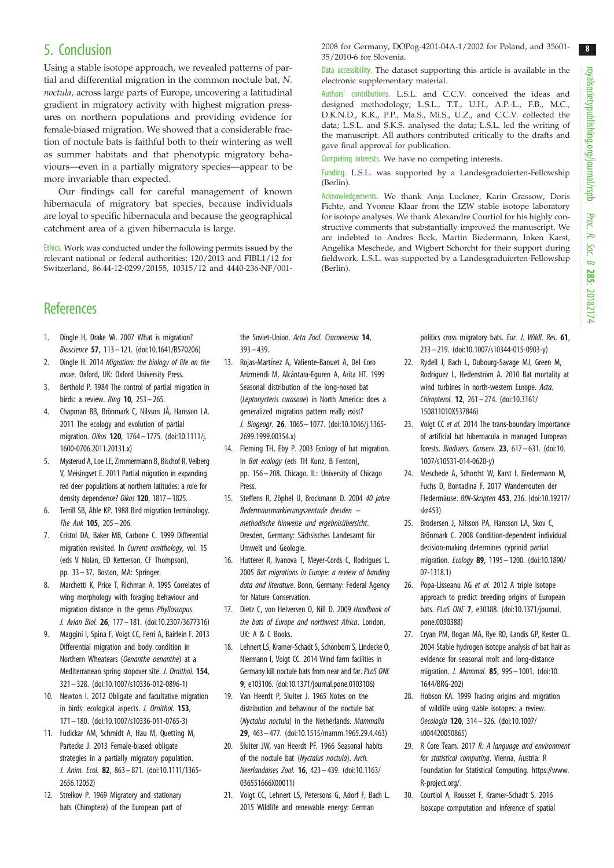# <span id="page-7-0"></span>5. Conclusion

Using a stable isotope approach, we revealed patterns of partial and differential migration in the common noctule bat, N. noctula, across large parts of Europe, uncovering a latitudinal gradient in migratory activity with highest migration pressures on northern populations and providing evidence for female-biased migration. We showed that a considerable fraction of noctule bats is faithful both to their wintering as well as summer habitats and that phenotypic migratory behaviours—even in a partially migratory species—appear to be more invariable than expected.

Our findings call for careful management of known hibernacula of migratory bat species, because individuals are loyal to specific hibernacula and because the geographical catchment area of a given hibernacula is large.

Ethics. Work was conducted under the following permits issued by the relevant national or federal authorities: 120/2013 and FIBL1/12 for Switzerland, 86.44-12-0299/20155, 10315/12 and 4440-236-NF/0012008 for Germany, DOPog-4201-04A-1/2002 for Poland, and 35601- 35/2010-6 for Slovenia.

Data accessibility. The dataset supporting this article is available in the electronic supplementary material.

Authors' contributions. L.S.L. and C.C.V. conceived the ideas and designed methodology; L.S.L., T.T., U.H., A.P.-L., F.B., M.C., D.K.N.D., K.K., P.P., Ma.S., Mi.S., U.Z., and C.C.V. collected the data; L.S.L. and S.K.S. analysed the data; L.S.L. led the writing of the manuscript. All authors contributed critically to the drafts and gave final approval for publication.

Competing interests. We have no competing interests.

Funding. L.S.L. was supported by a Landesgraduierten-Fellowship (Berlin).

Acknowledgements. We thank Anja Luckner, Karin Grassow, Doris Fichte, and Yvonne Klaar from the IZW stable isotope laboratory for isotope analyses. We thank Alexandre Courtiol for his highly constructive comments that substantially improved the manuscript. We are indebted to Andres Beck, Martin Biedermann, Inken Karst, Angelika Meschede, and Wigbert Schorcht for their support during fieldwork. L.S.L. was supported by a Landesgraduierten-Fellowship (Berlin).

# **References**

- 1. Dingle H, Drake VA. 2007 What is migration? Bioscience 57, 113– 121. ([doi:10.1641/B570206](http://dx.doi.org/10.1641/B570206))
- 2. Dingle H. 2014 Migration: the biology of life on the move. Oxford, UK: Oxford University Press.
- 3. Berthold P. 1984 The control of partial migration in birds: a review. Ring **10**, 253 - 265.
- 4. Chapman BB, Brönmark C, Nilsson JÅ, Hansson LA. 2011 The ecology and evolution of partial migration. Oikos 120, 1764– 1775. [\(doi:10.1111/j.](http://dx.doi.org/10.1111/j.1600-0706.2011.20131.x) [1600-0706.2011.20131.x\)](http://dx.doi.org/10.1111/j.1600-0706.2011.20131.x)
- 5. Mysterud A, Loe LE, Zimmermann B, Bischof R, Veiberg V, Meisingset E. 2011 Partial migration in expanding red deer populations at northern latitudes: a role for density dependence? Oikos 120, 1817-1825.
- 6. Terrill SB, Able KP. 1988 Bird migration terminology. The Auk 105, 205– 206.
- 7. Cristol DA, Baker MB, Carbone C. 1999 Differential migration revisited. In Current ornithology, vol. 15 (eds V Nolan, ED Ketterson, CF Thompson), pp. 33 – 37. Boston, MA: Springer.
- 8. Marchetti K, Price T, Richman A. 1995 Correlates of wing morphology with foraging behaviour and migration distance in the genus Phylloscopus. J. Avian Biol. 26, 177– 181. ([doi:10.2307/3677316\)](http://dx.doi.org/10.2307/3677316)
- 9. Maggini I, Spina F, Voigt CC, Ferri A, Bairlein F. 2013 Differential migration and body condition in Northern Wheatears (Oenanthe oenanthe) at a Mediterranean spring stopover site. J. Ornithol. 154, 321– 328. ([doi:10.1007/s10336-012-0896-1\)](http://dx.doi.org/10.1007/s10336-012-0896-1)
- 10. Newton I. 2012 Obligate and facultative migration in birds: ecological aspects. J. Ornithol. 153, 171– 180. ([doi:10.1007/s10336-011-0765-3\)](http://dx.doi.org/10.1007/s10336-011-0765-3)
- 11. Fudickar AM, Schmidt A, Hau M, Quetting M, Partecke J. 2013 Female-biased obligate strategies in a partially migratory population. J. Anim. Ecol. 82, 863 – 871. ([doi:10.1111/1365-](http://dx.doi.org/10.1111/1365-2656.12052) [2656.12052](http://dx.doi.org/10.1111/1365-2656.12052))
- 12. Strelkov P. 1969 Migratory and stationary bats (Chiroptera) of the European part of

the Soviet-Union. Acta Zool. Cracoviensia 14, 393 – 439.

- 13. Rojas-Martínez A, Valiente-Banuet A, Del Coro Arizmendi M, Alcántara-Eguren A, Arita HT. 1999 Seasonal distribution of the long-nosed bat (Leptonycteris curasoae) in North America: does a generalized migration pattern really exist? J. Biogeogr. 26, 1065– 1077. ([doi:10.1046/j.1365-](http://dx.doi.org/10.1046/j.1365-2699.1999.00354.x) [2699.1999.00354.x\)](http://dx.doi.org/10.1046/j.1365-2699.1999.00354.x)
- 14. Fleming TH, Eby P. 2003 Ecology of bat migration. In Bat ecology (eds TH Kunz, B Fenton), pp. 156– 208. Chicago, IL: University of Chicago Press.
- 15. Steffens R, Zöphel U, Brockmann D. 2004 40 jahre fledermausmarkierungszentrale dresden – methodische hinweise und ergebnisübersicht. Dresden, Germany: Sächsisches Landesamt für Umwelt und Geologie.
- 16. Hutterer R, Ivanova T, Meyer-Cords C, Rodrigues L. 2005 Bat migrations in Europe: a review of banding data and literature. Bonn, Germany: Federal Agency for Nature Conservation.
- 17. Dietz C, von Helversen O, Nill D. 2009 Handbook of the bats of Europe and northwest Africa. London, UK: A & C Books.
- 18. Lehnert LS, Kramer-Schadt S, Schönborn S, Lindecke O, Niermann I, Voigt CC. 2014 Wind farm facilities in Germany kill noctule bats from near and far. PLoS ONE 9, e103106. ([doi:10.1371/journal.pone.0103106](http://dx.doi.org/10.1371/journal.pone.0103106))
- 19. Van Heerdt P, Sluiter J. 1965 Notes on the distribution and behaviour of the noctule bat (Nyctalus noctula) in the Netherlands. Mammalia 29, 463– 477. ([doi:10.1515/mamm.1965.29.4.463](http://dx.doi.org/10.1515/mamm.1965.29.4.463))
- 20. Sluiter JW, van Heerdt PF. 1966 Seasonal habits of the noctule bat (Nyctalus noctula). Arch. Neerlandaises Zool. 16, 423 – 439. ([doi:10.1163/](http://dx.doi.org/10.1163/036551666X00011) [036551666X00011\)](http://dx.doi.org/10.1163/036551666X00011)
- 21. Voigt CC, Lehnert LS, Petersons G, Adorf F, Bach L. 2015 Wildlife and renewable energy: German

politics cross migratory bats. Eur. J. Wildl. Res. 61, 213– 219. [\(doi:10.1007/s10344-015-0903-y](http://dx.doi.org/10.1007/s10344-015-0903-y))

- 22. Rydell J, Bach L, Dubourg-Savage MJ, Green M, Rodriguez L, Hedenström A. 2010 Bat mortality at wind turbines in north-western Europe. Acta. Chiropterol. 12, 261 – 274. [\(doi:10.3161/](http://dx.doi.org/10.3161/150811010X537846) [150811010X537846\)](http://dx.doi.org/10.3161/150811010X537846)
- 23. Voigt CC et al. 2014 The trans-boundary importance of artificial bat hibernacula in managed European forests. Biodivers. Conserv. 23, 617 – 631. ([doi:10.](http://dx.doi.org/10.1007/s10531-014-0620-y) [1007/s10531-014-0620-y](http://dx.doi.org/10.1007/s10531-014-0620-y))
- 24. Meschede A, Schorcht W, Karst I, Biedermann M, Fuchs D, Bontadina F. 2017 Wanderrouten der Fledermäuse. BfN-Skripten 453, 236. ([doi:10.19217/](http://dx.doi.org/10.19217/skr453) [skr453\)](http://dx.doi.org/10.19217/skr453)
- 25. Brodersen J, Nilsson PA, Hansson LA, Skov C, Brönmark C. 2008 Condition-dependent individual decision-making determines cyprinid partial migration. Ecology 89, 1195 – 1200. [\(doi:10.1890/](http://dx.doi.org/10.1890/07-1318.1) [07-1318.1](http://dx.doi.org/10.1890/07-1318.1))
- 26. Popa-Lisseanu AG et al. 2012 A triple isotope approach to predict breeding origins of European bats. PLoS ONE 7, e30388. ([doi:10.1371/journal.](http://dx.doi.org/10.1371/journal.pone.0030388) [pone.0030388\)](http://dx.doi.org/10.1371/journal.pone.0030388)
- 27. Cryan PM, Bogan MA, Rye RO, Landis GP, Kester CL. 2004 Stable hydrogen isotope analysis of bat hair as evidence for seasonal molt and long-distance migration. J. Mammal. 85, 995– 1001. ([doi:10.](http://dx.doi.org/10.1644/BRG-202) [1644/BRG-202](http://dx.doi.org/10.1644/BRG-202))
- 28. Hobson KA. 1999 Tracing origins and migration of wildlife using stable isotopes: a review. Oecologia 120, 314– 326. [\(doi:10.1007/](http://dx.doi.org/10.1007/s004420050865) [s004420050865\)](http://dx.doi.org/10.1007/s004420050865)
- 29. R Core Team. 2017 R: A language and environment for statistical computing. Vienna, Austria: R Foundation for Statistical Computing. [https://www.](https://www.R-project.org/) [R-project.org/.](https://www.R-project.org/)
- 30. Courtiol A, Rousset F, Kramer-Schadt S. 2016 Isoscape computation and inference of spatial